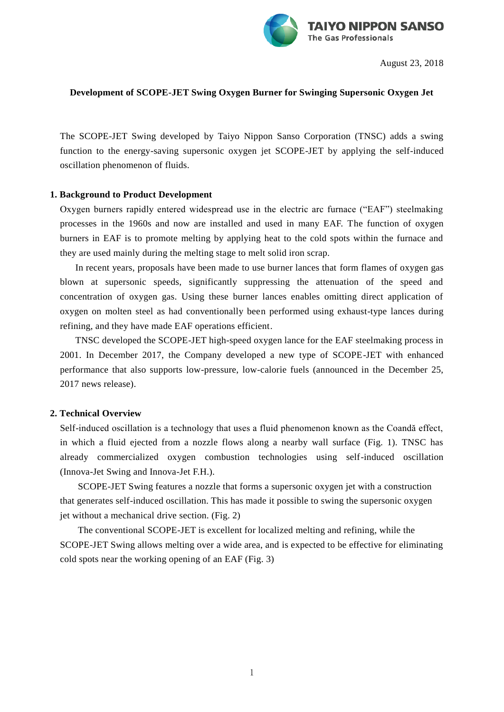

August 23, 2018

## **Development of SCOPE-JET Swing Oxygen Burner for Swinging Supersonic Oxygen Jet**

The SCOPE-JET Swing developed by Taiyo Nippon Sanso Corporation (TNSC) adds a swing function to the energy-saving supersonic oxygen jet SCOPE-JET by applying the self-induced oscillation phenomenon of fluids.

## **1. Background to Product Development**

Oxygen burners rapidly entered widespread use in the electric arc furnace ("EAF") steelmaking processes in the 1960s and now are installed and used in many EAF. The function of oxygen burners in EAF is to promote melting by applying heat to the cold spots within the furnace and they are used mainly during the melting stage to melt solid iron scrap.

In recent years, proposals have been made to use burner lances that form flames of oxygen gas blown at supersonic speeds, significantly suppressing the attenuation of the speed and concentration of oxygen gas. Using these burner lances enables omitting direct application of oxygen on molten steel as had conventionally been performed using exhaust-type lances during refining, and they have made EAF operations efficient.

TNSC developed the SCOPE-JET high-speed oxygen lance for the EAF steelmaking process in 2001. In December 2017, the Company developed a new type of SCOPE-JET with enhanced performance that also supports low-pressure, low-calorie fuels (announced in the December 25, 2017 news release).

## **2. Technical Overview**

Self-induced oscillation is a technology that uses a fluid phenomenon known as the Coandă effect, in which a fluid ejected from a nozzle flows along a nearby wall surface (Fig. 1). TNSC has already commercialized oxygen combustion technologies using self-induced oscillation (Innova-Jet Swing and Innova-Jet F.H.).

SCOPE-JET Swing features a nozzle that forms a supersonic oxygen jet with a construction that generates self-induced oscillation. This has made it possible to swing the supersonic oxygen jet without a mechanical drive section. (Fig. 2)

The conventional SCOPE-JET is excellent for localized melting and refining, while the SCOPE-JET Swing allows melting over a wide area, and is expected to be effective for eliminating cold spots near the working opening of an EAF (Fig. 3)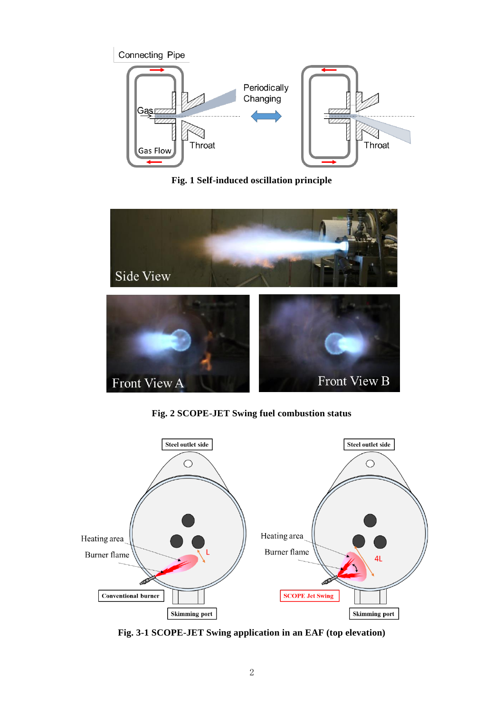

**Fig. 1 Self-induced oscillation principle**



**Fig. 2 SCOPE-JET Swing fuel combustion status**



**Fig. 3-1 SCOPE-JET Swing application in an EAF (top elevation)**